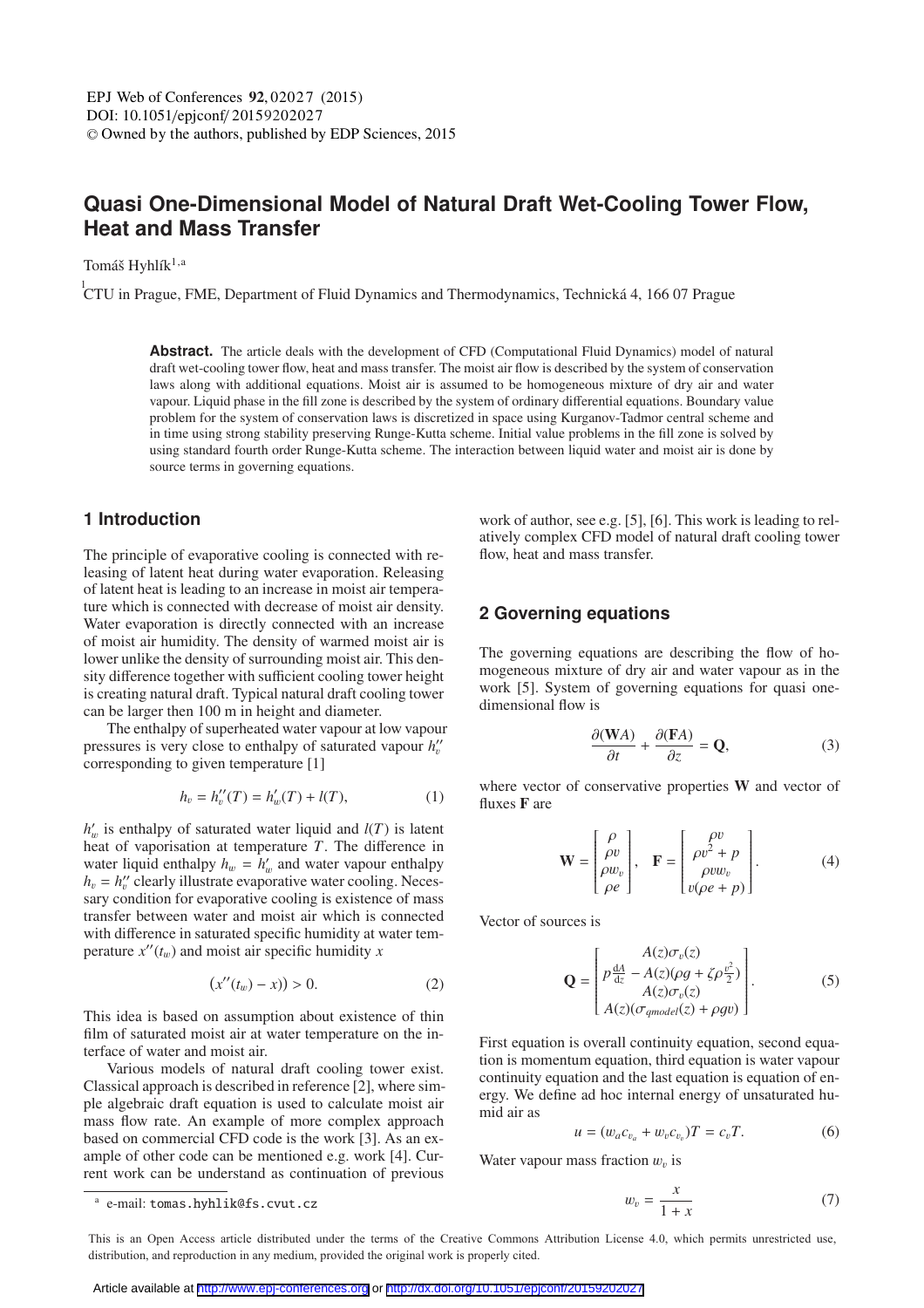# **Quasi One-Dimensional Model of Natural Draft Wet-Cooling Tower Flow, Heat and Mass Transfer**

Tomáš Hyhlík $^{1,a}$ 

 ${}^{1}_{1}$ CTU in Prague, FME, Department of Fluid Dynamics and Thermodynamics, Technická 4, 166 07 Prague

**Abstract.** The article deals with the development of CFD (Computational Fluid Dynamics) model of natural draft wet-cooling tower flow, heat and mass transfer. The moist air flow is described by the system of conservation laws along with additional equations. Moist air is assumed to be homogeneous mixture of dry air and water vapour. Liquid phase in the fill zone is described by the system of ordinary differential equations. Boundary value problem for the system of conservation laws is discretized in space using Kurganov-Tadmor central scheme and in time using strong stability preserving Runge-Kutta scheme. Initial value problems in the fill zone is solved by using standard fourth order Runge-Kutta scheme. The interaction between liquid water and moist air is done by source terms in governing equations.

# **1 Introduction**

The principle of evaporative cooling is connected with releasing of latent heat during water evaporation. Releasing of latent heat is leading to an increase in moist air temperature which is connected with decrease of moist air density. Water evaporation is directly connected with an increase of moist air humidity. The density of warmed moist air is lower unlike the density of surrounding moist air. This density difference together with sufficient cooling tower height is creating natural draft. Typical natural draft cooling tower can be larger then 100 m in height and diameter.

The enthalpy of superheated water vapour at low vapour pressures is very close to enthalpy of saturated vapour  $h''_v$ corresponding to given temperature [1]

$$
h_v = h_v''(T) = h_w'(T) + l(T), \tag{1}
$$

 $h'_w$  is enthalpy of saturated water liquid and  $l(T)$  is latent<br>heat of vaporisation at temperature T. The difference in heat of vaporisation at temperature *T*. The difference in water liquid enthalpy  $h_w = h'_w$  and water vapour enthalpy  $h - h''$  clearly illustrate evaporative water cooling. Neces $h_v = h''_v$  clearly illustrate evaporative water cooling. Neces-<br>sary condition for evaporative cooling is existence of mass sary condition for evaporative cooling is existence of mass transfer between water and moist air which is connected with difference in saturated specific humidity at water temperature  $x''(t_w)$  and moist air specific humidity *x* 

$$
(x''(t_w) - x)) > 0.
$$
 (2)

This idea is based on assumption about existence of thin film of saturated moist air at water temperature on the interface of water and moist air.

Various models of natural draft cooling tower exist. Classical approach is described in reference [2], where simple algebraic draft equation is used to calculate moist air mass flow rate. An example of more complex approach based on commercial CFD code is the work [3]. As an example of other code can be mentioned e.g. work [4]. Current work can be understand as continuation of previous work of author, see e.g. [5], [6]. This work is leading to relatively complex CFD model of natural draft cooling tower flow, heat and mass transfer.

# **2 Governing equations**

The governing equations are describing the flow of homogeneous mixture of dry air and water vapour as in the work [5]. System of governing equations for quasi onedimensional flow is

$$
\frac{\partial(\mathbf{W}A)}{\partial t} + \frac{\partial(\mathbf{F}A)}{\partial z} = \mathbf{Q},\tag{3}
$$

where vector of conservative properties W and vector of fluxes F are

$$
\mathbf{W} = \begin{bmatrix} \rho \\ \rho v \\ \rho w_v \\ \rho e \end{bmatrix}, \quad \mathbf{F} = \begin{bmatrix} \rho v \\ \rho v^2 + p \\ \rho v w_v \\ v(\rho e + p) \end{bmatrix}.
$$
 (4)

Vector of sources is

$$
\mathbf{Q} = \begin{bmatrix} A(z)\sigma_v(z) \\ p\frac{dA}{dz} - A(z)(\rho g + \zeta \rho \frac{v^2}{2}) \\ A(z)\sigma_v(z) \\ A(z)(\sigma_{\mathit{qmodel}}(z) + \rho g v) \end{bmatrix} . \tag{5}
$$

First equation is overall continuity equation, second equation is momentum equation, third equation is water vapour continuity equation and the last equation is equation of energy. We define ad hoc internal energy of unsaturated humid air as

$$
u = (w_a c_{v_a} + w_v c_{v_v})T = c_vT.
$$
 (6)

Water vapour mass fraction  $w<sub>v</sub>$  is

$$
w_v = \frac{x}{1+x} \tag{7}
$$

This is an Open Access article distributed under the terms of the Creative Commons Attribution License 4.0, which permits unrestricted use. distribution, and reproduction in any medium, provided the original work is properly cited.

<sup>a</sup> e-mail: tomas.hyhlik@fs.cvut.cz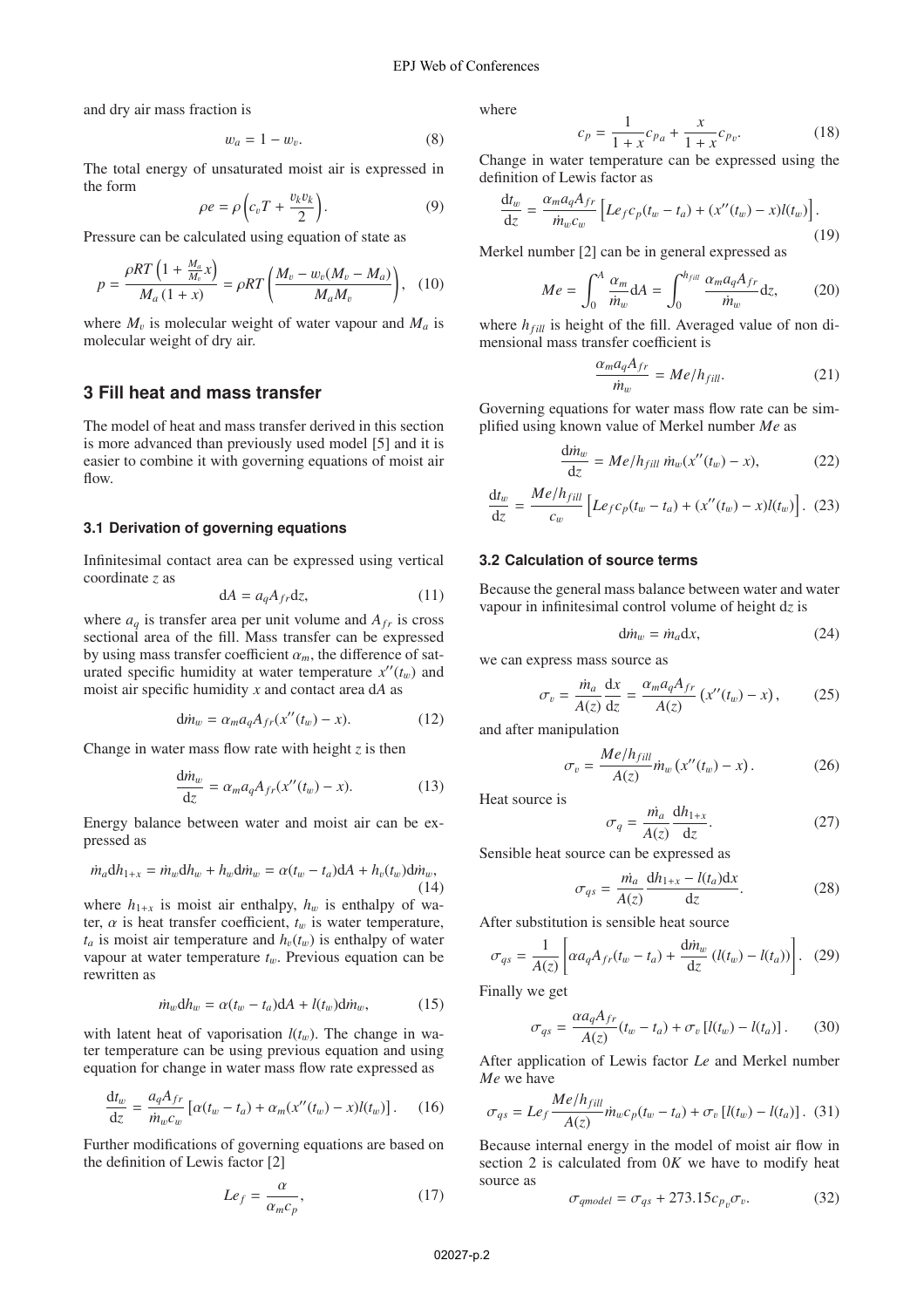and dry air mass fraction is

$$
w_a = 1 - w_v. \tag{8}
$$

The total energy of unsaturated moist air is expressed in the form

$$
\rho e = \rho \left( c_v T + \frac{v_k v_k}{2} \right). \tag{9}
$$

Pressure can be calculated using equation of state as

$$
p = \frac{\rho RT \left( 1 + \frac{M_a}{M_v} x \right)}{M_a (1 + x)} = \rho RT \left( \frac{M_v - w_v (M_v - M_a)}{M_a M_v} \right), \quad (10)
$$

where  $M_v$  is molecular weight of water vapour and  $M_a$  is molecular weight of dry air.

# **3 Fill heat and mass transfer**

The model of heat and mass transfer derived in this section is more advanced than previously used model [5] and it is easier to combine it with governing equations of moist air flow.

#### **3.1 Derivation of governing equations**

Infinitesimal contact area can be expressed using vertical coordinate *z* as

$$
dA = a_q A_{fr} dz, \t\t(11)
$$

where  $a_q$  is transfer area per unit volume and  $A_{fr}$  is cross sectional area of the fill. Mass transfer can be expressed by using mass transfer coefficient  $\alpha_m$ , the difference of saturated specific humidity at water temperature  $x''(t_w)$  and<br>most six specific humidity *x* and contact area dA as moist air specific humidity *x* and contact area d*A* as

$$
d\dot{m}_w = \alpha_m a_q A_{fr}(x''(t_w) - x). \tag{12}
$$

Change in water mass flow rate with height *z* is then

$$
\frac{\mathrm{d}m_w}{\mathrm{d}z} = \alpha_m a_q A_{fr}(x''(t_w) - x). \tag{13}
$$

Energy balance between water and moist air can be expressed as

$$
\dot{m}_a \mathrm{d}h_{1+x} = \dot{m}_w \mathrm{d}h_w + h_w \mathrm{d}\dot{m}_w = \alpha (t_w - t_a) \mathrm{d}A + h_v(t_w) \mathrm{d}\dot{m}_w,
$$
\n(14)

where  $h_{1+x}$  is moist air enthalpy,  $h_w$  is enthalpy of water,  $\alpha$  is heat transfer coefficient,  $t_w$  is water temperature,  $t_a$  is moist air temperature and  $h_v(t_w)$  is enthalpy of water vapour at water temperature  $t_w$ . Previous equation can be rewritten as

$$
\dot{m}_w \mathrm{d}h_w = \alpha (t_w - t_a) \mathrm{d}A + l(t_w) \mathrm{d}\dot{m}_w, \tag{15}
$$

with latent heat of vaporisation  $l(t_w)$ . The change in water temperature can be using previous equation and using equation for change in water mass flow rate expressed as

$$
\frac{dt_w}{dz} = \frac{a_q A_{fr}}{\dot{m}_w c_w} \left[ \alpha (t_w - t_a) + \alpha_m (x''(t_w) - x) l(t_w) \right]. \tag{16}
$$

Further modifications of governing equations are based on the definition of Lewis factor [2]

$$
Le_f = \frac{\alpha}{\alpha_m c_p},\tag{17}
$$

where

$$
c_p = \frac{1}{1+x}c_{p_a} + \frac{x}{1+x}c_{p_v}.
$$
 (18)

Change in water temperature can be expressed using the definition of Lewis factor as

$$
\frac{\mathrm{d}t_w}{\mathrm{d}z} = \frac{\alpha_m a_q A_{fr}}{\dot{m}_w c_w} \left[ L e_f c_p (t_w - t_a) + (x''(t_w) - x) l(t_w) \right].
$$
\n(19)

Merkel number [2] can be in general expressed as

$$
Me = \int_0^A \frac{\alpha_m}{\dot{m}_w} dA = \int_0^{h_{full}} \frac{\alpha_m a_q A_{fr}}{\dot{m}_w} dz, \tag{20}
$$

where  $h_{fill}$  is height of the fill. Averaged value of non dimensional mass transfer coefficient is

$$
\frac{\alpha_m a_q A_{fr}}{\dot{m}_w} = Me/h_{fill}.\tag{21}
$$

Governing equations for water mass flow rate can be simplified using known value of Merkel number *Me* as

$$
\frac{\mathrm{d}m_w}{\mathrm{d}z} = Me/h_{fill} \dot{m}_w(x''(t_w) - x),\tag{22}
$$

$$
\frac{dt_w}{dz} = \frac{Me/h_{fill}}{c_w} \left[ Le_f c_p(t_w - t_a) + (x''(t_w) - x)l(t_w) \right]. \tag{23}
$$

#### **3.2 Calculation of source terms**

Because the general mass balance between water and water vapour in infinitesimal control volume of height d*z* is

$$
d\dot{m}_w = \dot{m}_a dx, \qquad (24)
$$

we can express mass source as

$$
\sigma_v = \frac{\dot{m}_a}{A(z)} \frac{\mathrm{d}x}{\mathrm{d}z} = \frac{\alpha_m a_q A_{fr}}{A(z)} \left( x''(t_w) - x \right),\tag{25}
$$

and after manipulation

$$
\sigma_v = \frac{Me/h_{fill}}{A(z)} \dot{m}_w \left( x''(t_w) - x \right). \tag{26}
$$

Heat source is

$$
\sigma_q = \frac{\dot{m}_a}{A(z)} \frac{dh_{1+x}}{dz}.
$$
 (27)

Sensible heat source can be expressed as

$$
\sigma_{qs} = \frac{\dot{m}_a}{A(z)} \frac{\mathrm{d}h_{1+x} - l(t_a)\mathrm{d}x}{\mathrm{d}z}.
$$
 (28)

After substitution is sensible heat source

$$
\sigma_{qs} = \frac{1}{A(z)} \left[ \alpha a_q A_{fr}(t_w - t_a) + \frac{d m_w}{dz} \left( l(t_w) - l(t_a) \right) \right]. \tag{29}
$$

Finally we get

$$
\sigma_{qs} = \frac{\alpha a_q A_{fr}}{A(z)} (t_w - t_a) + \sigma_v [l(t_w) - l(t_a)]. \tag{30}
$$

After application of Lewis factor *Le* and Merkel number *Me* we have

$$
\sigma_{qs} = L e_f \frac{Me/h_{fill}}{A(z)} \dot{m}_w c_p(t_w - t_a) + \sigma_v [l(t_w) - l(t_a)].
$$
 (31)

Because internal energy in the model of moist air flow in section 2 is calculated from 0*K* we have to modify heat source as

$$
\sigma_{\text{qmodel}} = \sigma_{\text{qs}} + 273.15 c_{p_v} \sigma_v. \tag{32}
$$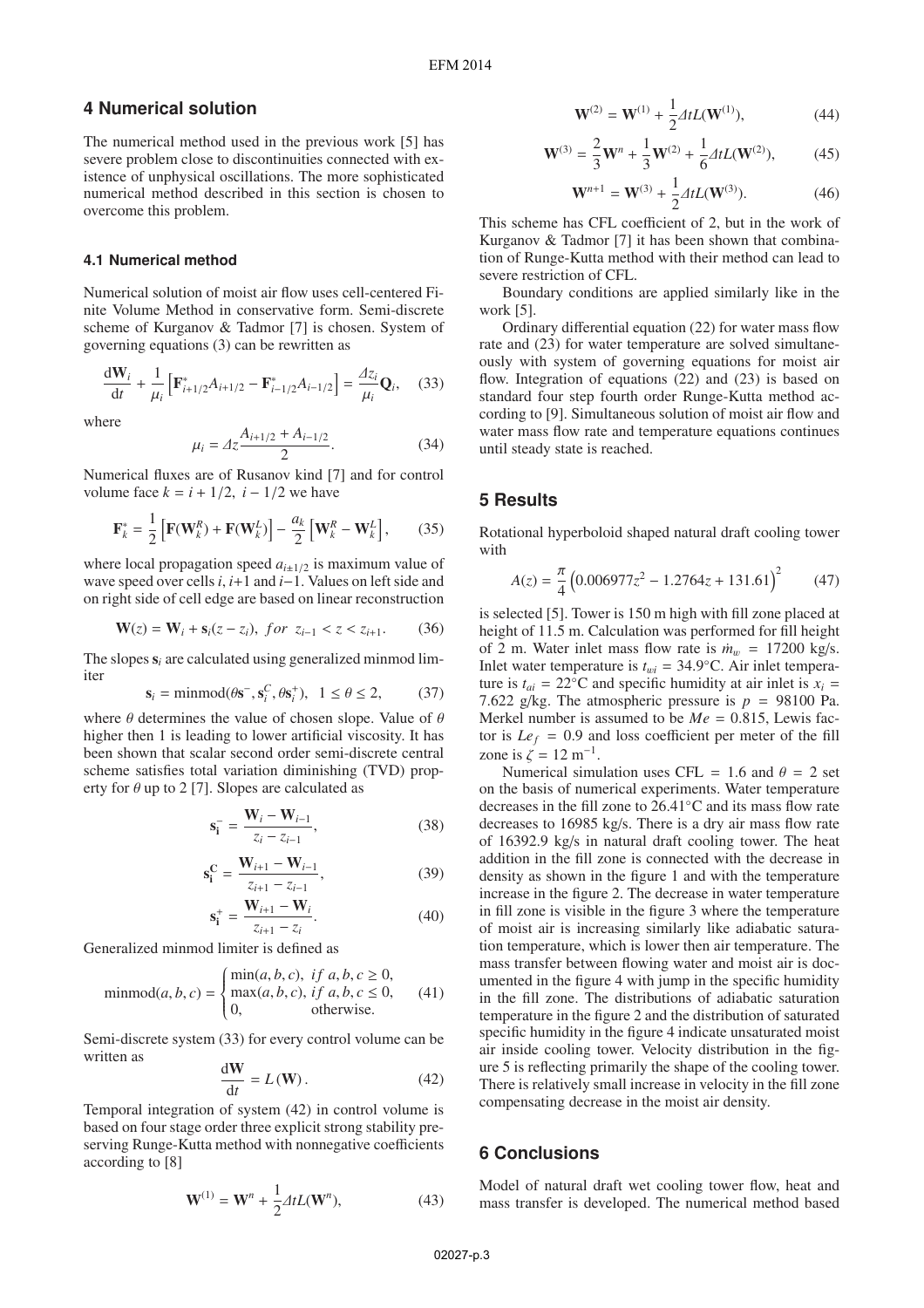## **4 Numerical solution**

The numerical method used in the previous work [5] has severe problem close to discontinuities connected with existence of unphysical oscillations. The more sophisticated numerical method described in this section is chosen to overcome this problem.

#### **4.1 Numerical method**

Numerical solution of moist air flow uses cell-centered Finite Volume Method in conservative form. Semi-discrete scheme of Kurganov & Tadmor [7] is chosen. System of governing equations (3) can be rewritten as

$$
\frac{d\mathbf{W}_i}{dt} + \frac{1}{\mu_i} \left[ \mathbf{F}_{i+1/2}^* A_{i+1/2} - \mathbf{F}_{i-1/2}^* A_{i-1/2} \right] = \frac{\Delta z_i}{\mu_i} \mathbf{Q}_i, \quad (33)
$$

where

$$
\mu_i = \Delta z \frac{A_{i+1/2} + A_{i-1/2}}{2}.
$$
\n(34)

Numerical fluxes are of Rusanov kind [7] and for control volume face  $k = i + 1/2$ ,  $i - 1/2$  we have

$$
\mathbf{F}_{k}^{*} = \frac{1}{2} \left[ \mathbf{F}(\mathbf{W}_{k}^{R}) + \mathbf{F}(\mathbf{W}_{k}^{L}) \right] - \frac{a_{k}}{2} \left[ \mathbf{W}_{k}^{R} - \mathbf{W}_{k}^{L} \right], \qquad (35)
$$

where local propagation speed  $a_{i\pm 1/2}$  is maximum value of wave speed over cells*i*, *i*+1 and *i*−1. Values on left side and on right side of cell edge are based on linear reconstruction

$$
\mathbf{W}(z) = \mathbf{W}_i + \mathbf{s}_i(z - z_i), \text{ for } z_{i-1} < z < z_{i+1}.\tag{36}
$$

The slopes  $s_i$  are calculated using generalized minmod limiter

$$
\mathbf{s}_i = \text{minmod}(\theta \mathbf{s}^-, \mathbf{s}_i^C, \theta \mathbf{s}_i^+), \quad 1 \le \theta \le 2,\tag{37}
$$

where  $\theta$  determines the value of chosen slope. Value of  $\theta$  bigher then 1 is leading to lower artificial viscosity. It has higher then 1 is leading to lower artificial viscosity. It has been shown that scalar second order semi-discrete central scheme satisfies total variation diminishing (TVD) property for  $\theta$  up to 2 [7]. Slopes are calculated as

$$
\mathbf{s}_{i}^{-} = \frac{\mathbf{W}_{i} - \mathbf{W}_{i-1}}{z_{i} - z_{i-1}},
$$
\n(38)

$$
\mathbf{s}_{i}^{\mathbf{C}} = \frac{\mathbf{W}_{i+1} - \mathbf{W}_{i-1}}{z_{i+1} - z_{i-1}},
$$
 (39)

$$
\mathbf{s}_{\mathbf{i}}^{+} = \frac{\mathbf{W}_{i+1} - \mathbf{W}_{i}}{z_{i+1} - z_{i}}.
$$
 (40)

Generalized minmod limiter is defined as

$$
\text{minmod}(a, b, c) = \begin{cases} \text{min}(a, b, c), & \text{if } a, b, c \ge 0, \\ \text{max}(a, b, c), & \text{if } a, b, c \le 0, \\ 0, & \text{otherwise.} \end{cases} \tag{41}
$$

Semi-discrete system (33) for every control volume can be written as

$$
\frac{\text{d}W}{\text{d}t} = L(W). \tag{42}
$$

Temporal integration of system (42) in control volume is based on four stage order three explicit strong stability preserving Runge-Kutta method with nonnegative coefficients according to [8]

$$
\mathbf{W}^{(1)} = \mathbf{W}^n + \frac{1}{2} \Delta t L(\mathbf{W}^n),\tag{43}
$$

$$
\mathbf{W}^{(2)} = \mathbf{W}^{(1)} + \frac{1}{2} \Delta t L(\mathbf{W}^{(1)}), \tag{44}
$$

$$
\mathbf{W}^{(3)} = \frac{2}{3}\mathbf{W}^{n} + \frac{1}{3}\mathbf{W}^{(2)} + \frac{1}{6}\Delta t L(\mathbf{W}^{(2)}),
$$
 (45)

$$
\mathbf{W}^{n+1} = \mathbf{W}^{(3)} + \frac{1}{2} \Delta t L(\mathbf{W}^{(3)}). \tag{46}
$$

This scheme has CFL coefficient of 2, but in the work of Kurganov & Tadmor [7] it has been shown that combination of Runge-Kutta method with their method can lead to severe restriction of CFL.

Boundary conditions are applied similarly like in the work [5].

Ordinary differential equation (22) for water mass flow rate and (23) for water temperature are solved simultaneously with system of governing equations for moist air flow. Integration of equations (22) and (23) is based on standard four step fourth order Runge-Kutta method according to [9]. Simultaneous solution of moist air flow and water mass flow rate and temperature equations continues until steady state is reached.

## **5 Results**

Rotational hyperboloid shaped natural draft cooling tower with

$$
A(z) = \frac{\pi}{4} \left( 0.006977z^2 - 1.2764z + 131.61 \right)^2 \tag{47}
$$

is selected [5]. Tower is 150 m high with fill zone placed at height of 11.5 m. Calculation was performed for fill height of 2 m. Water inlet mass flow rate is  $\dot{m}_w = 17200 \text{ kg/s}$ . Inlet water temperature is  $t_{wi} = 34.9 °C$ . Air inlet temperature is  $t_{ai} = 22$ <sup>o</sup>C and specific humidity at air inlet is  $x_i =$ 7.622 g/kg. The atmospheric pressure is  $p = 98100$  Pa. Merkel number is assumed to be  $Me = 0.815$ , Lewis factor is  $Le<sub>f</sub> = 0.9$  and loss coefficient per meter of the fill zone is  $\zeta = 12$  m<sup>-1</sup>.

Numerical simulation uses CFL = 1.6 and  $\theta$  = 2 set on the basis of numerical experiments. Water temperature decreases in the fill zone to 26.41◦C and its mass flow rate decreases to 16985 kg/s. There is a dry air mass flow rate of 16392.9 kg/s in natural draft cooling tower. The heat addition in the fill zone is connected with the decrease in density as shown in the figure 1 and with the temperature increase in the figure 2. The decrease in water temperature in fill zone is visible in the figure 3 where the temperature of moist air is increasing similarly like adiabatic saturation temperature, which is lower then air temperature. The mass transfer between flowing water and moist air is documented in the figure 4 with jump in the specific humidity in the fill zone. The distributions of adiabatic saturation temperature in the figure 2 and the distribution of saturated specific humidity in the figure 4 indicate unsaturated moist air inside cooling tower. Velocity distribution in the figure 5 is reflecting primarily the shape of the cooling tower. There is relatively small increase in velocity in the fill zone compensating decrease in the moist air density.

## **6 Conclusions**

Model of natural draft wet cooling tower flow, heat and mass transfer is developed. The numerical method based